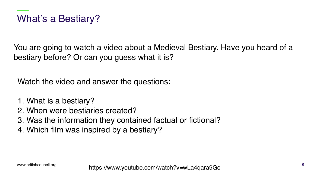You are going to watch a video about a Medieval Bestiary. Have you heard of a bestiary before? Or can you guess what it is?

Watch the video and answer the questions:

- 1. What is a bestiary?
- 2. When were bestiaries created?
- 3. Was the information they contained factual or fictional?
- 4. Which film was inspired by a bestiary?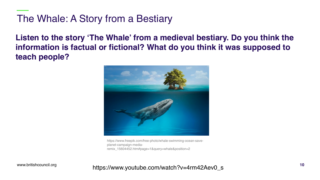## The Whale: A Story from a Bestiary

**Listen to the story 'The Whale' from a medieval bestiary. Do you think the information is factual or fictional? What do you think it was supposed to teach people?** 



https://www.freepik.com/free-photo/whale-swimming-ocean-saveplanet-campaign-mediaremix 15604452.htm#page=1&query=whale&position=2

www.britishcouncil.org

## https://www.youtube.com/watch?v=4rm42Aev0\_s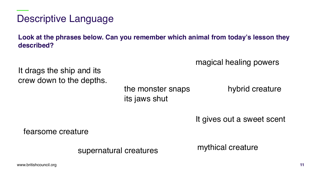Descriptive Language

**Look at the phrases below. Can you remember which animal from today's lesson they described?**

magical healing powers

It drags the ship and its crew down to the depths.

> the monster snaps its jaws shut

hybrid creature

It gives out a sweet scent

fearsome creature

supernatural creatures

mythical creature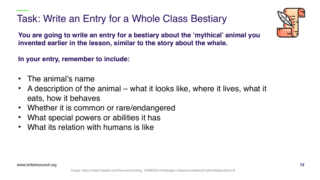Task: Write an Entry for a Whole Class Bestiary



**You are going to write an entry for a bestiary about the 'mythical' animal you invented earlier in the lesson, similar to the story about the whale.** 

**In your entry, remember to include:**

- The animal's name
- A description of the animal what it looks like, where it lives, what it eats, how it behaves
- Whether it is common or rare/endangered
- What special powers or abilities it has
- What its relation with humans is like